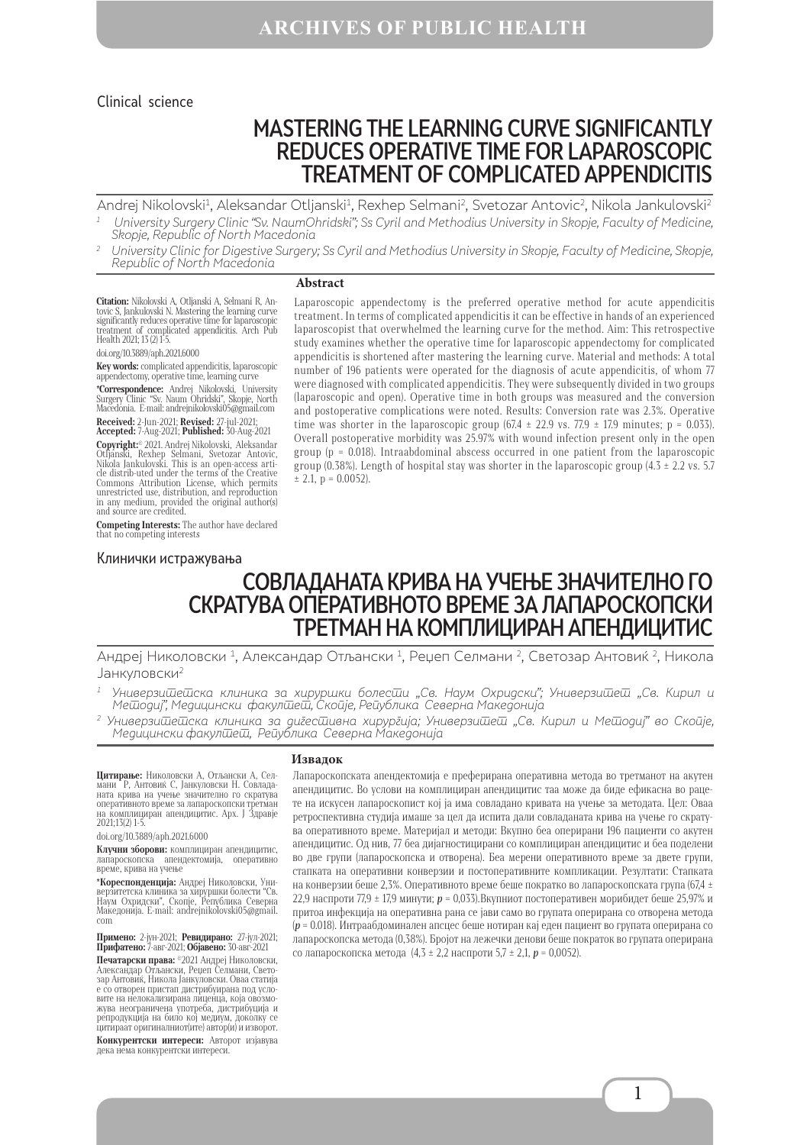#### Clinical science

# MASTERING THE LEARNING CURVE SIGNIFICANTLY REDUCES OPERATIVE TIME FOR LAPAROSCOPIC TREATMENT OF COMPLICATED APPENDICITIS

Andrej Nikolovski<sup>1</sup>, Aleksandar Otljanski<sup>1</sup>, Rexhep Selmani<sup>2</sup>, Svetozar Antovic<sup>2</sup>, Nikola Jankulovski<sup>2</sup>

- $^\text{\tiny 1}$  University Surgery Clinic "Sv. NaumOhridski"; Ss Cyril and Methodius University in Skopje, Faculty of Medicine, Skopje, Republic of North Macedonia
- <sup>2</sup> University Clinic for Digestive Surgery; Ss Cyril and Methodius University in Skopje, Faculty of Medicine, Skopje, Republic of North Macedonia

#### **Abstract**

**Citation:** Nikolovski A, Otljanski A, Selmani R, An-<br>tovic S, Jankulovski N. Mastering the learning curve<br>significantly reduces operative time for laparoscopic<br>treatment of complicated appendicitis. Arch Pub Health 2021; 13 (2) 1-5.

#### doi.org/10.3889/aph.2021.6000

**Key words:** complicated appendicitis, laparoscopic appendectomy, operative time, learning curve

**\*Correspondence:** Andrej Nikolovski, University Surgery Clinic "Sv. Naum Ohridski", Skopje, North Macedonia. Е-mail: andrejnikolovski05@gmail.com

**Received:** 2-Jun-2021; **Revised:** 27-jul-2021; **Accepted:** 7-Aug-2021; **Published:** 30-Aug-2021 **Copyright:**® 2021. Andrej Nikolovski, Aleksandar<br>Otljanski, Rexhep Selmani, Svetozar Antovic,<br>Nikola Jankulovski. This is an open-access arti-<br>cle distrib-uted under the terms of the Creative Commons Attribution License, which permits unrestricted use, distribution, and reproduction

in any medium, provided the original author(s) and source are credited. **Competing Interests:** The author have declared

that no competing interests

#### Клинички истражувања

Laparoscopic appendectomy is the preferred operative method for acute appendicitis treatment. In terms of complicated appendicitis it can be effective in hands of an experienced laparoscopist that overwhelmed the learning curve for the method. Aim: Тhis retrospective study examines whether the operative time for laparoscopic appendectomy for complicated appendicitis is shortened after mastering the learning curve. Material and methods: A total number of 196 patients were operated for the diagnosis of acute appendicitis, of whom 77 were diagnosed with complicated appendicitis. They were subsequently divided in two groups (laparoscopic and open). Operative time in both groups was measured and the conversion and postoperative complications were noted. Results: Conversion rate was 2.3%. Operative time was shorter in the laparoscopic group  $(67.4 \pm 22.9 \text{ vs. } 77.9 \pm 17.9 \text{ minutes}; \text{ p} = 0.033)$ . Overall postoperative morbidity was 25.97% with wound infection present only in the open group ( $p = 0.018$ ). Intraabdominal abscess occurred in one patient from the laparoscopic group (0.38%). Length of hospital stay was shorter in the laparoscopic group (4.3  $\pm$  2.2 vs. 5.7  $\pm$  2.1, p = 0.0052).

# СОВЛАДАНАТА КРИВА НА УЧЕЊЕ ЗНАЧИТЕЛНО ГО СКРАТУВА ОПЕРАТИВНОТО ВРЕМЕ ЗА ЛАПАРОСКОПСКИ ТРЕТМАН НА КОМПЛИЦИРАН АПЕНДИЦИТИС

Андреј Николовски 1, Александар Отљански 1, Реџеп Селмани 2, Светозар Антовиќ 2, Никола Јанкуловски2

Универзишешска клиника за хируршки болесши "Св. Наум Охридски"; Универзишеш "Св. Кирил и Мешодиј", Медицински факулшеш, Скоије, Реиублика Северна Македонија

2 Универзитетска клиника за дигестивна хирургија; Универзитет "Св. Кирил и Методиј" во Скопје, Медицински факулшеш, Рейублика Северна Македонија

**Цитирање:** Николовски А, Отљански А, Сел-<br>мани <sup>Р</sup>, Антовиќ С, Јанкуловски Н. Совлада-<br>ната крива на учење значително го скратува оперативното време за лапароскопски третман на комплициран апендицитис. Арх. Ј Здравје 2021;13(2) 1-5.

doi.org/10.3889/aph.2021.6000

**Клучни зборови:** комплициран апендицитис, лапароскопска апендектомија, оперативно време, крива на учење

**\*Кореспонденција:** Андреј Николовски, Универзитетска клиника за хируршки болести "Св. Наум Охридски", Скопје, Република Северна Македонија. E-mail: andrejnikolovski05@gmail. com

**Примено:** 2-јун-2021; **Ревидирано:** 27-јул-2021; **Прифатено:** 7-авг-2021; **Објавено:** 30-авг-2021

**Печатарски права:** ©2021 Андреј Николовски, Александар Отљански, Реџеп Селмани, Свето-<br>зар Антовиќ, Никола Јанкуловски. Оваа статија е со отворен пристап дистрибуирана под усло-<br>вите на нелокализирана лиценца, која овозможува неограничена употреба, дистрибуција и репродукција на било кој медиум, доколку се цитираат оригиналниот(ите) автор(и) и изворот.

**Конкурентски интереси:** Авторот изјавува дека нема конкурентски интереси.

#### **Извадок**

Лапароскопската апендектомија е преферирана оперативна метода во третманот на акутен апендицитис. Во услови на комплициран апендицитис таа може да биде ефикасна во рацете на искусен лапароскопист кој ја има совладано кривата на учење за методата. Цел: Оваа ретроспективна студија имаше за цел да испита дали совладаната крива на учење го скратува оперативното време. Материјал и методи: Вкупно беа оперирани 196 пациенти со акутен апендицитис. Од нив, 77 беа дијагностицирани со комплициран апендицитис и беа поделени во две групи (лапароскопска и отворена). Беа мерени оперативното време за двете групи, стапката на оперативни конверзии и постоперативните компликации. Резултати: Стапката на конверзии беше 2,3%. Оперативното време беше пократко во лапароскопската група (67,4 ± 22,9 наспроти 77,9 ± 17,9 минути; *p* = 0,033).Вкупниот постоперативен морибидет беше 25,97% и притоа инфекција на оперативна рана се јави само во групата оперирана со отворена метода (*p* = 0.018). Интраабдоминален апсцес беше нотиран кај еден пациент во групата оперирана со лапароскопска метода (0,38%). Бројот на лежечки денови беше пократок во групата оперирана со лапароскопска метода (4,3 ± 2,2 наспроти 5,7 ± 2,1, *p* = 0,0052).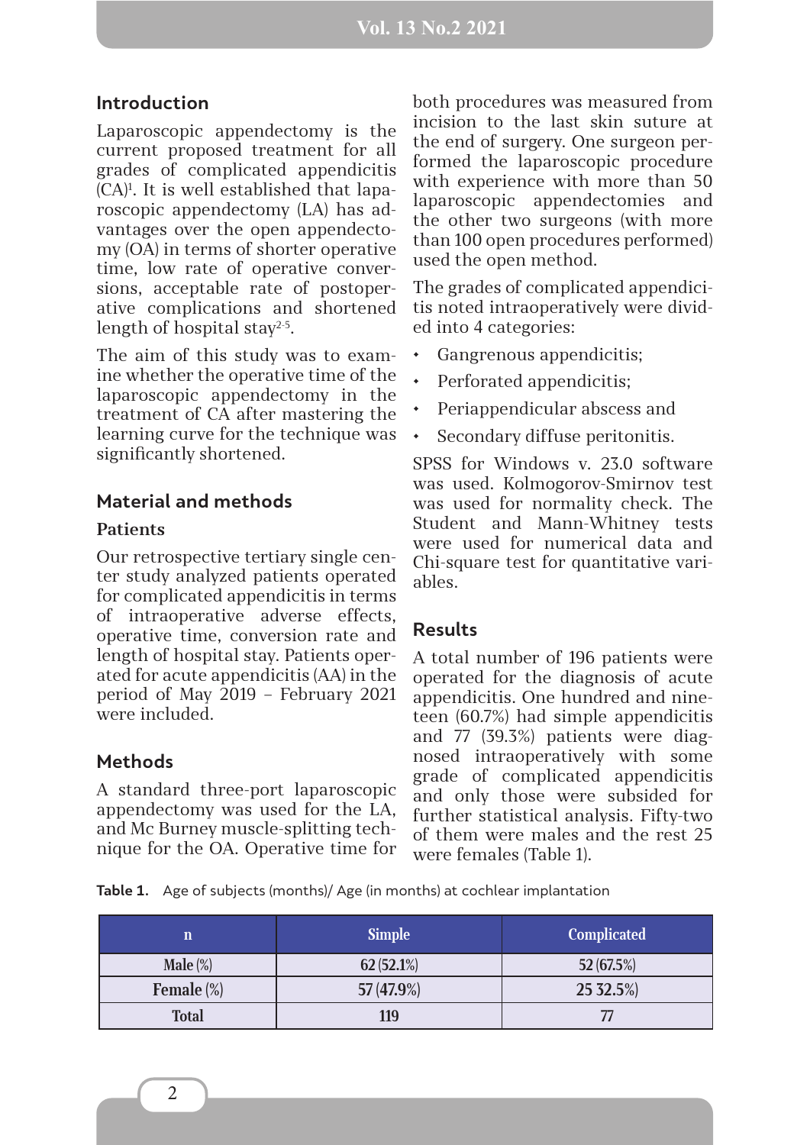### **Introduction**

Laparoscopic appendectomy is the current proposed treatment for all grades of complicated appendicitis (CA)1 . It is well established that laparoscopic appendectomy (LA) has advantages over the open appendectomy (OA) in terms of shorter operative time, low rate of operative conversions, acceptable rate of postoperative complications and shortened length of hospital stay<sup>2-5</sup>.

The aim of this study was to examine whether the operative time of the laparoscopic appendectomy in the treatment of CA after mastering the learning curve for the technique was significantly shortened.

### **Material and methods**

#### **Patients**

Our retrospective tertiary single center study analyzed patients operated for complicated appendicitis in terms of intraoperative adverse effects, operative time, conversion rate and length of hospital stay. Patients operated for acute appendicitis (AA) in the period of May 2019 – February 2021 were included.

## **Methods**

A standard three-port laparoscopic appendectomy was used for the LA, and Mc Burney muscle-splitting technique for the OA. Operative time for both procedures was measured from incision to the last skin suture at the end of surgery. One surgeon performed the laparoscopic procedure with experience with more than 50 laparoscopic appendectomies and the other two surgeons (with more than 100 open procedures performed) used the open method.

The grades of complicated appendicitis noted intraoperatively were divided into 4 categories:

- Gangrenous appendicitis;
- Perforated appendicitis:
- Periappendicular abscess and
- Secondary diffuse peritonitis.

SPSS for Windows v. 23.0 software was used. Kolmogorov-Smirnov test was used for normality check. The Student and Mann-Whitney tests were used for numerical data and Chi-square test for quantitative variables.

#### **Results**

A total number of 196 patients were operated for the diagnosis of acute appendicitis. One hundred and nineteen (60.7%) had simple appendicitis and 77 (39.3%) patients were diagnosed intraoperatively with some grade of complicated appendicitis and only those were subsided for further statistical analysis. Fifty-two of them were males and the rest 25 were females (Table 1).

**Table 1.** Age of subjects (months)/ Age (in months) at cochlear implantation

| n                 | <b>Simple</b> | <b>Complicated</b> |  |
|-------------------|---------------|--------------------|--|
| Male $(\%)$       | 62(52.1%)     | 52 (67.5%)         |  |
| <b>Female</b> (%) | 57 (47.9%)    | 25 32.5%)          |  |
| <b>Total</b>      | 119           |                    |  |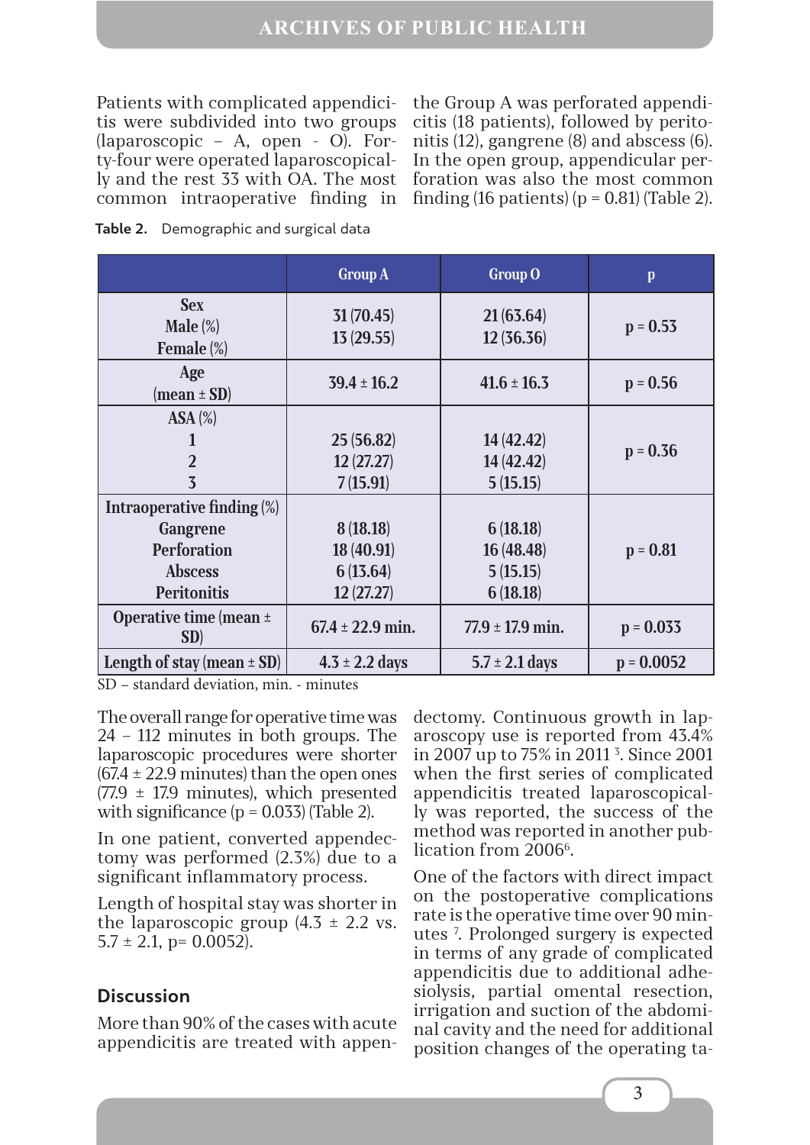Patients with complicated appendicitis were subdivided into two groups (laparoscopic – A, open - O). Forty-four were operated laparoscopically and the rest 33 with OA. The мost common intraoperative finding in

the Group A was perforated appendicitis (18 patients), followed by peritonitis (12), gangrene (8) and abscess (6). In the open group, appendicular perforation was also the most common finding (16 patients) ( $p = 0.81$ ) (Table 2).

|                                                                                                             | <b>Group A</b>                                  | Group O                                        | $\mathbf{p}$ |
|-------------------------------------------------------------------------------------------------------------|-------------------------------------------------|------------------------------------------------|--------------|
| <b>Sex</b><br>Male $(\%)$<br>Female (%)                                                                     | 31 (70.45)<br>13(29.55)                         | 21(63.64)<br>12(36.36)                         | $p = 0.53$   |
| Age<br>$(mean \pm SD)$                                                                                      | $39.4 \pm 16.2$                                 | $41.6 \pm 16.3$                                | $p = 0.56$   |
| $ASA$ $(\%)$<br>$\overline{2}$<br>3                                                                         | 25 (56.82)<br>12(27.27)<br>7(15.91)             | 14 (42.42)<br>14 (42.42)<br>5(15.15)           | $p = 0.36$   |
| <b>Intraoperative finding (%)</b><br>Gangrene<br><b>Perforation</b><br><b>Abscess</b><br><b>Peritonitis</b> | 8(18.18)<br>18 (40.91)<br>6(13.64)<br>12(27.27) | 6(18.18)<br>16 (48.48)<br>5(15.15)<br>6(18.18) | $p = 0.81$   |
| Operative time (mean $\pm$<br>SD)                                                                           | $67.4 \pm 22.9$ min.                            | $77.9 \pm 17.9$ min.                           | $p = 0.033$  |
| Length of stay (mean $\pm$ SD)                                                                              | $4.3 \pm 2.2$ days                              | $5.7 \pm 2.1$ days                             | $p = 0.0052$ |

**Table 2.** Demographic and surgical data

SD – standard deviation, min. - minutes

The overall range for operative time was 24 – 112 minutes in both groups. The laparoscopic procedures were shorter  $(67.4 \pm 22.9 \text{ minutes})$  than the open ones  $(77.9 \pm 17.9 \text{ minutes})$ , which presented with significance  $(p = 0.033)$  (Table 2).

In one patient, converted appendectomy was performed (2.3%) due to a significant inflammatory process.

Length of hospital stay was shorter in the laparoscopic group  $(4.5 \pm 2.2 \text{ vs.})$  $5.7 \pm 2.1$ , p= 0.0052).

## **Discussion**

More than 90% of the cases with acute appendicitis are treated with appendectomy. Continuous growth in laparoscopy use is reported from 43.4% in 2007 up to 75% in 2011 3 . Since 2001 when the first series of complicated appendicitis treated laparoscopically was reported, the success of the method was reported in another publication from 2006<sup>6</sup>.

One of the factors with direct impact on the postoperative complications rate is the operative time over 90 minutes 7 . Prolonged surgery is expected in terms of any grade of complicated appendicitis due to additional adhesiolysis, partial omental resection, irrigation and suction of the abdominal cavity and the need for additional position changes of the operating ta-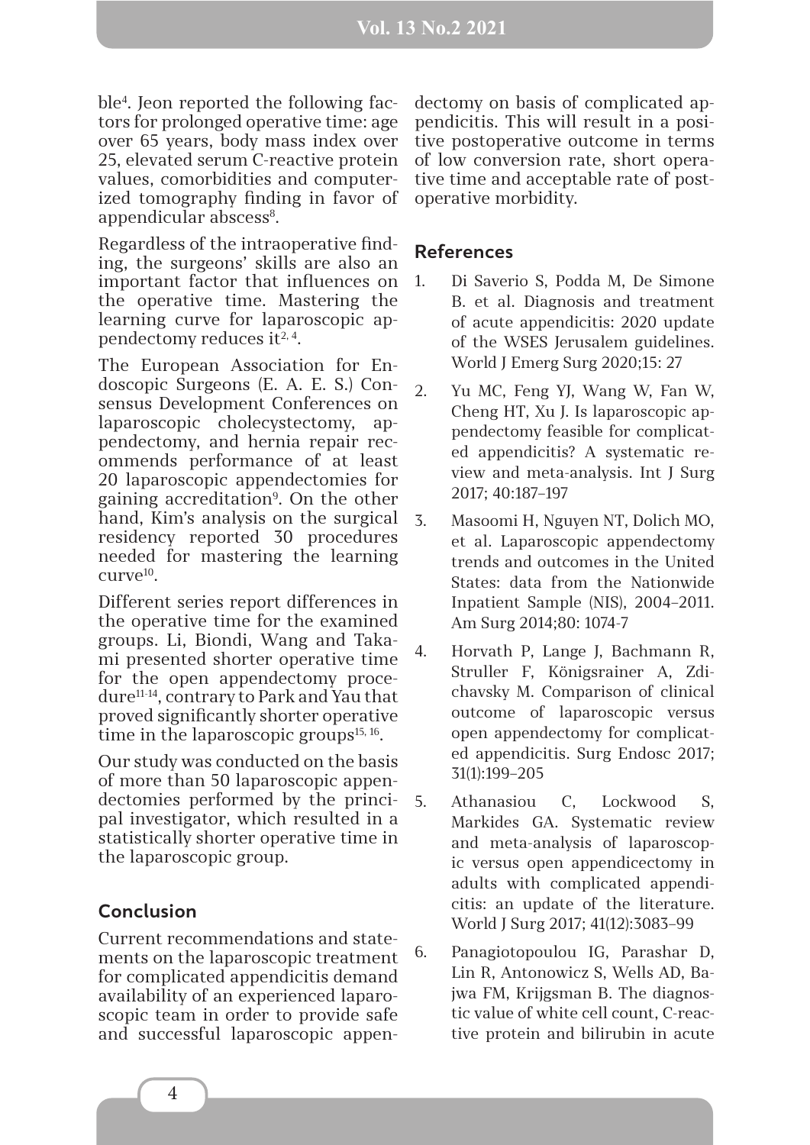ble4 . Jeon reported the following factors for prolonged operative time: age over 65 years, body mass index over 25, elevated serum C-reactive protein values, comorbidities and computerized tomography finding in favor of appendicular abscess<sup>8</sup>.

Regardless of the intraoperative finding, the surgeons' skills are also an important factor that influences on the operative time. Mastering the learning curve for laparoscopic appendectomy reduces it<sup>2, 4</sup>.

The European Association for Endoscopic Surgeons (E. A. E. S.) Consensus Development Conferences on laparoscopic cholecystectomy, appendectomy, and hernia repair recommends performance of at least 20 laparoscopic appendectomies for gaining accreditation<sup>9</sup>. On the other hand, Kim's analysis on the surgical residency reported 30 procedures needed for mastering the learning  $CUTEV<sup>10</sup>$ .

Different series report differences in the operative time for the examined groups. Li, Biondi, Wang and Takami presented shorter operative time for the open appendectomy procedure11-14, contrary to Park and Yau that proved significantly shorter operative time in the laparoscopic groups $15, 16$ .

Our study was conducted on the basis of more than 50 laparoscopic appendectomies performed by the principal investigator, which resulted in а statistically shorter operative time in the laparoscopic group.

## **Conclusion**

Current recommendations and statements on the laparoscopic treatment for complicated appendicitis demand availability of an experienced laparoscopic team in order to provide safe and successful laparoscopic appen-

dectomy on basis of complicated appendicitis. This will result in a positive postoperative outcome in terms of low conversion rate, short operative time and acceptable rate of postoperative morbidity.

#### **References**

- 1. Di Saverio S, Podda M, De Simone B. et al. Diagnosis and treatment of acute appendicitis: 2020 update of the WSES Jerusalem guidelines. World J Emerg Surg 2020;15: 27
- 2. Yu MC, Feng YJ, Wang W, Fan W, Cheng HT, Xu J. Is laparoscopic appendectomy feasible for complicated appendicitis? A systematic review and meta-analysis. Int J Surg 2017; 40:187–197
- 3. Masoomi H, Nguyen NT, Dolich MO, et al. Laparoscopic appendectomy trends and outcomes in the United States: data from the Nationwide Inpatient Sample (NIS), 2004–2011. Am Surg 2014;80: 1074-7
- 4. Horvath P, Lange J, Bachmann R, Struller F, Königsrainer A, Zdichavsky M. Comparison of clinical outcome of laparoscopic versus open appendectomy for complicated appendicitis. Surg Endosc 2017; 31(1):199–205
- 5. Athanasiou C, Lockwood S, Markides GA. Systematic review and meta-analysis of laparoscopic versus open appendicectomy in adults with complicated appendicitis: an update of the literature. World J Surg 2017; 41(12):3083–99
- 6. Panagiotopoulou IG, Parashar D, Lin R, Antonowicz S, Wells AD, Bajwa FM, Krijgsman B. The diagnostic value of white cell count, C-reactive protein and bilirubin in acute